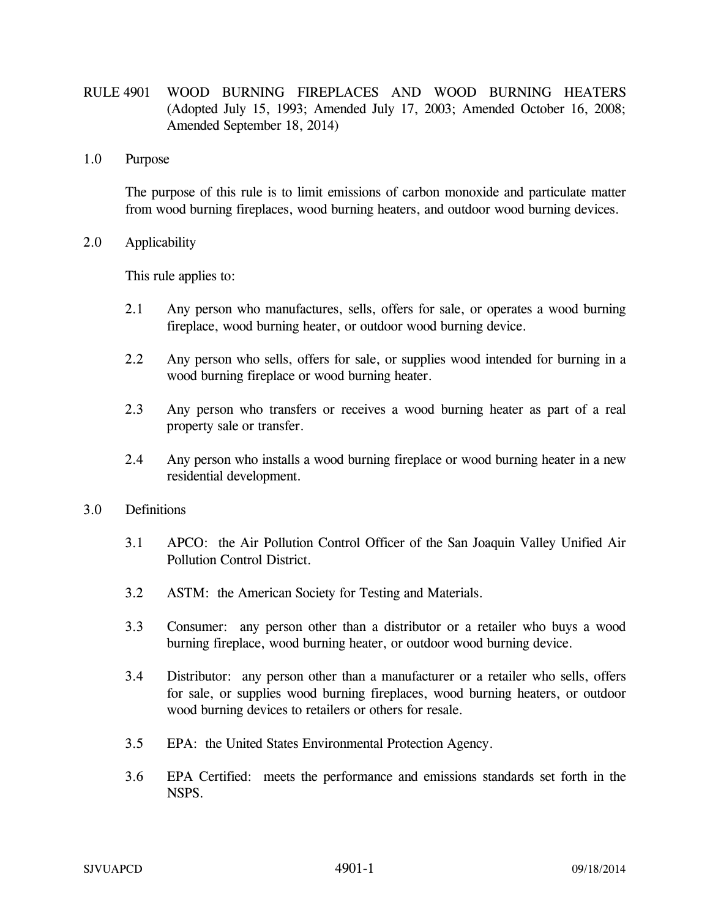- RULE 4901 WOOD BURNING FIREPLACES AND WOOD BURNING HEATERS (Adopted July 15, 1993; Amended July 17, 2003; Amended October 16, 2008; Amended September 18, 2014)
- 1.0 Purpose

The purpose of this rule is to limit emissions of carbon monoxide and particulate matter from wood burning fireplaces, wood burning heaters, and outdoor wood burning devices.

2.0 Applicability

This rule applies to:

- 2.1 Any person who manufactures, sells, offers for sale, or operates a wood burning fireplace, wood burning heater, or outdoor wood burning device.
- 2.2 Any person who sells, offers for sale, or supplies wood intended for burning in a wood burning fireplace or wood burning heater.
- 2.3 Any person who transfers or receives a wood burning heater as part of a real property sale or transfer.
- 2.4 Any person who installs a wood burning fireplace or wood burning heater in a new residential development.
- 3.0 Definitions
	- 3.1 APCO: the Air Pollution Control Officer of the San Joaquin Valley Unified Air Pollution Control District.
	- 3.2 ASTM: the American Society for Testing and Materials.
	- 3.3 Consumer: any person other than a distributor or a retailer who buys a wood burning fireplace, wood burning heater, or outdoor wood burning device.
	- 3.4 Distributor: any person other than a manufacturer or a retailer who sells, offers for sale, or supplies wood burning fireplaces, wood burning heaters, or outdoor wood burning devices to retailers or others for resale.
	- 3.5 EPA: the United States Environmental Protection Agency.
	- 3.6 EPA Certified: meets the performance and emissions standards set forth in the NSPS.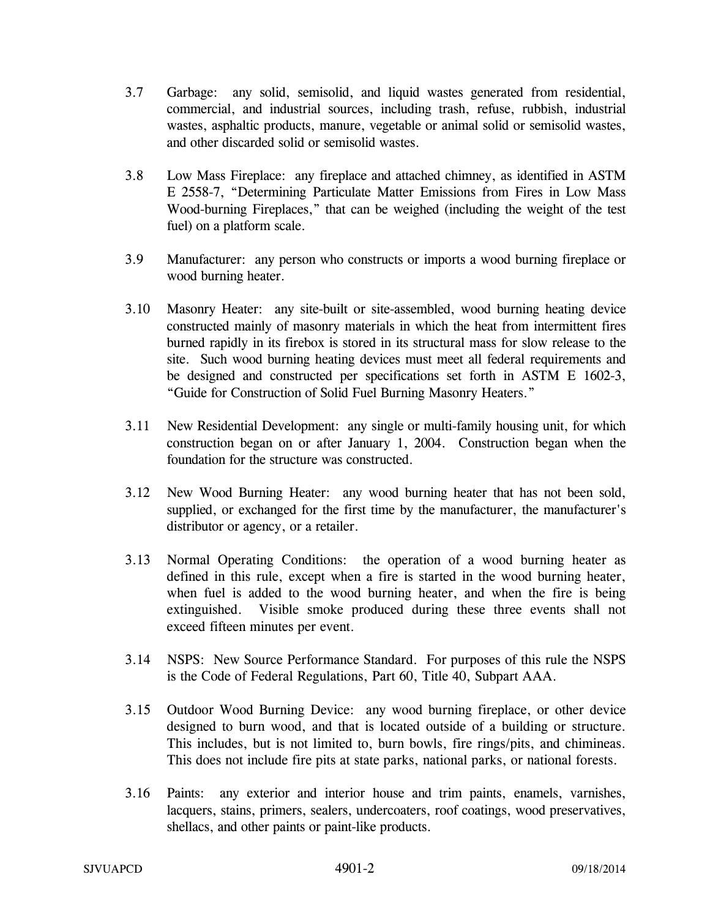- 3.7 Garbage: any solid, semisolid, and liquid wastes generated from residential, commercial, and industrial sources, including trash, refuse, rubbish, industrial wastes, asphaltic products, manure, vegetable or animal solid or semisolid wastes, and other discarded solid or semisolid wastes.
- 3.8 Low Mass Fireplace: any fireplace and attached chimney, as identified in ASTM E 2558-7, "Determining Particulate Matter Emissions from Fires in Low Mass Wood-burning Fireplaces," that can be weighed (including the weight of the test fuel) on a platform scale.
- 3.9 Manufacturer: any person who constructs or imports a wood burning fireplace or wood burning heater.
- 3.10 Masonry Heater: any site-built or site-assembled, wood burning heating device constructed mainly of masonry materials in which the heat from intermittent fires burned rapidly in its firebox is stored in its structural mass for slow release to the site. Such wood burning heating devices must meet all federal requirements and be designed and constructed per specifications set forth in ASTM E 1602-3, "Guide for Construction of Solid Fuel Burning Masonry Heaters."
- 3.11 New Residential Development: any single or multi-family housing unit, for which construction began on or after January 1, 2004. Construction began when the foundation for the structure was constructed.
- 3.12 New Wood Burning Heater: any wood burning heater that has not been sold, supplied, or exchanged for the first time by the manufacturer, the manufacturer's distributor or agency, or a retailer.
- 3.13 Normal Operating Conditions: the operation of a wood burning heater as defined in this rule, except when a fire is started in the wood burning heater, when fuel is added to the wood burning heater, and when the fire is being extinguished. Visible smoke produced during these three events shall not exceed fifteen minutes per event.
- 3.14 NSPS: New Source Performance Standard. For purposes of this rule the NSPS is the Code of Federal Regulations, Part 60, Title 40, Subpart AAA.
- 3.15 Outdoor Wood Burning Device: any wood burning fireplace, or other device designed to burn wood, and that is located outside of a building or structure. This includes, but is not limited to, burn bowls, fire rings/pits, and chimineas. This does not include fire pits at state parks, national parks, or national forests.
- 3.16 Paints: any exterior and interior house and trim paints, enamels, varnishes, lacquers, stains, primers, sealers, undercoaters, roof coatings, wood preservatives, shellacs, and other paints or paint-like products.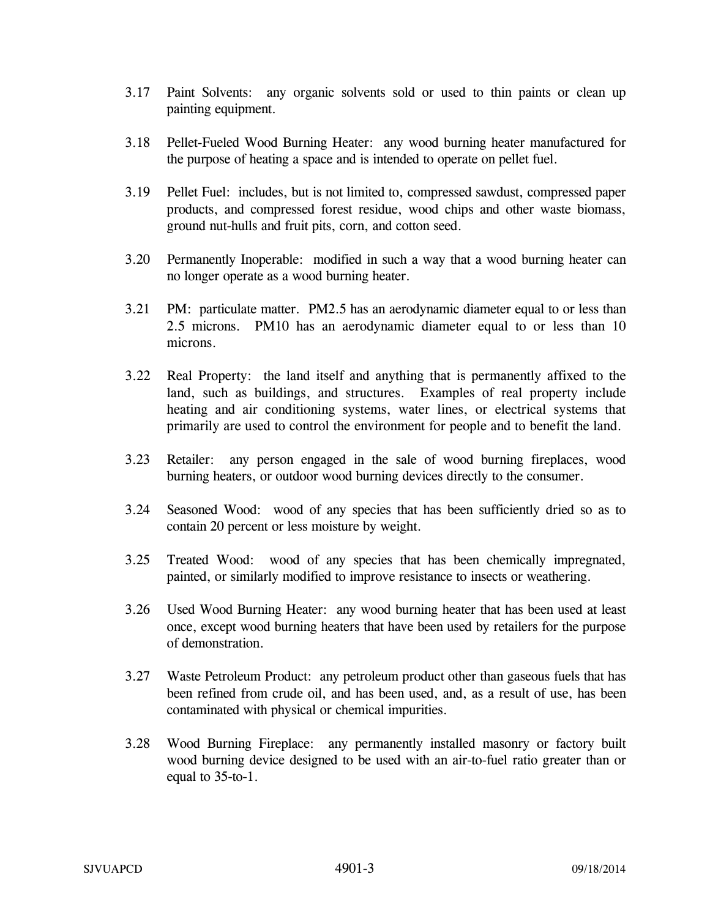- 3.17 Paint Solvents: any organic solvents sold or used to thin paints or clean up painting equipment.
- 3.18 Pellet-Fueled Wood Burning Heater: any wood burning heater manufactured for the purpose of heating a space and is intended to operate on pellet fuel.
- 3.19 Pellet Fuel: includes, but is not limited to, compressed sawdust, compressed paper products, and compressed forest residue, wood chips and other waste biomass, ground nut-hulls and fruit pits, corn, and cotton seed.
- 3.20 Permanently Inoperable: modified in such a way that a wood burning heater can no longer operate as a wood burning heater.
- 3.21 PM: particulate matter. PM2.5 has an aerodynamic diameter equal to or less than 2.5 microns. PM10 has an aerodynamic diameter equal to or less than 10 microns.
- 3.22 Real Property: the land itself and anything that is permanently affixed to the land, such as buildings, and structures. Examples of real property include heating and air conditioning systems, water lines, or electrical systems that primarily are used to control theenvironment for people and to benefit the land.
- 3.23 Retailer: any person engaged in the sale of wood burning fireplaces, wood burning heaters, or outdoor wood burning devices directly to the consumer.
- 3.24 Seasoned Wood: wood of any species that has been sufficiently dried so as to contain 20 percent or less moisture by weight.
- 3.25 Treated Wood: wood of any species that has been chemically impregnated, painted, or similarly modified to improve resistance to insects or weathering.
- 3.26 Used Wood Burning Heater: any wood burning heater that has been used at least once, except wood burning heaters that have been used by retailers for the purpose of demonstration.
- 3.27 Waste Petroleum Product: any petroleum product other than gaseous fuels that has been refined from crude oil, and has been used, and, as a result of use, has been contaminated with physical or chemical impurities.
- 3.28 Wood Burning Fireplace: any permanently installed masonry or factory built wood burning device designed to be used with an air-to-fuel ratio greater than or equal to 35-to-1.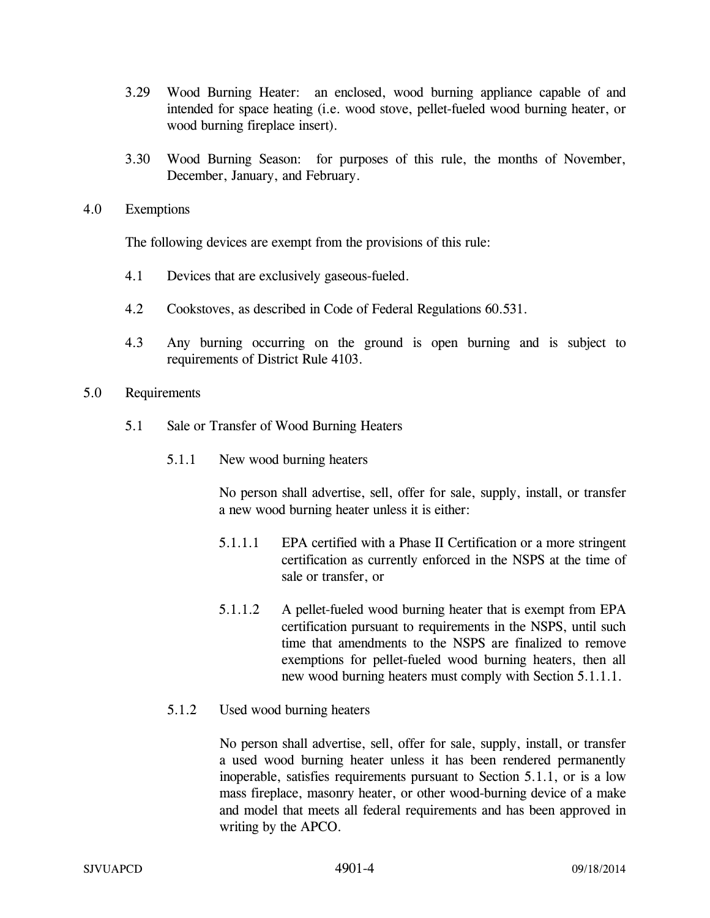- 3.29 Wood Burning Heater: an enclosed, wood burning appliance capable of and intended for space heating (i.e. wood stove, pellet-fueled wood burning heater, or wood burning fireplace insert).
- 3.30 Wood Burning Season: for purposes of this rule, the months of November, December, January, and February.
- 4.0 Exemptions

The following devices are exempt from the provisions of this rule:

- 4.1 Devices that are exclusively gaseous-fueled.
- 4.2 Cookstoves, as described in Code of Federal Regulations 60.531.
- 4.3 Any burning occurring on the ground is open burning and is subject to requirements of District Rule 4103.
- 5.0 Requirements
	- 5.1 Sale or Transfer of Wood Burning Heaters
		- 5.1.1 New wood burning heaters

No person shall advertise, sell, offer for sale, supply, install, or transfer a new wood burning heater unless it is either:

- 5.1.1.1 EPA certified with a Phase II Certification or a more stringent certification as currently enforced in the NSPS at the time of sale or transfer, or
- 5.1.1.2 A pellet-fueled wood burning heater that is exempt from EPA certification pursuant to requirements in the NSPS, until such time that amendments to the NSPS are finalized to remove exemptions for pellet-fueled wood burning heaters, then all new wood burning heaters must comply with Section 5.1.1.1.
- 5.1.2 Used wood burning heaters

No person shall advertise, sell, offer for sale, supply, install, or transfer a used wood burning heater unless it has been rendered permanently inoperable, satisfies requirements pursuant to Section 5.1.1, or is a low mass fireplace, masonry heater, or other wood-burning device of a make and model that meets all federal requirements and has been approved in writing by the APCO.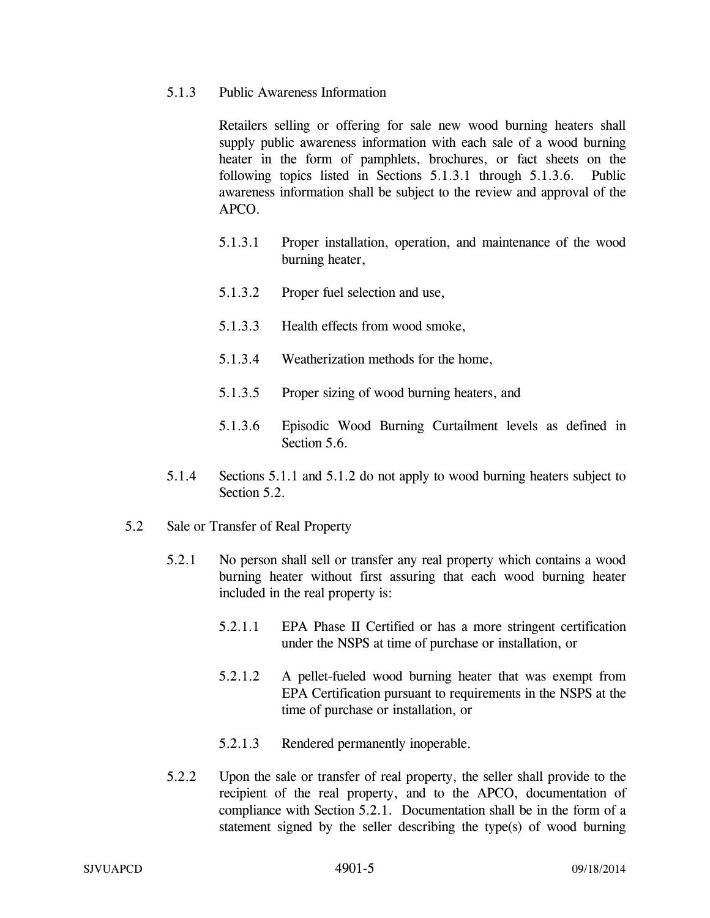## 5.1.3 Public Awareness Information

 Retailers selling or offering for sale new wood burning heaters shall supply public awareness information with each sale of a wood burning heater in the form of pamphlets, brochures, or fact sheets on the following topics listed in Sections 5.1.3.1 through 5.1.3.6. Public awareness information shall be subject to the review and approval of the APCO.

- 5.1.3.1 Proper installation, operation, and maintenance of the wood burning heater,
- 5.1.3.2 Proper fuel selection and use,
- 5.1.3.3 Health effects from wood smoke,
- 5.1.3.4 Weatherization methods for the home,
- 5.1.3.5 Proper sizing of wood burning heaters, and
- 5.1.3.6 Episodic Wood Burning Curtailment levels as defined in Section 5.6.
- 5.1.4 Sections 5.1.1 and 5.1.2 do not apply to wood burning heaters subject to Section 5.2.
- 5.2 Sale or Transfer of Real Property
	- 5.2.1 No person shall sell or transfer any real property which contains a wood burning heater without first assuring that each wood burning heater included in the real property is:
		- 5.2.1.1 EPA Phase II Certified or has a more stringent certification under the NSPS at time of purchase or installation, or
		- 5.2.1.2 A pellet-fueled wood burning heater that was exempt from EPA Certification pursuant to requirements in the NSPS at the time of purchase or installation, or
		- 5.2.1.3 Rendered permanently inoperable.
	- 5.2.2 Upon the sale or transfer of real property, the seller shall provide to the recipient of the real property, and to the APCO, documentation of compliance with Section 5.2.1. Documentation shall be in the form of a statement signed by the seller describing the type(s) of wood burning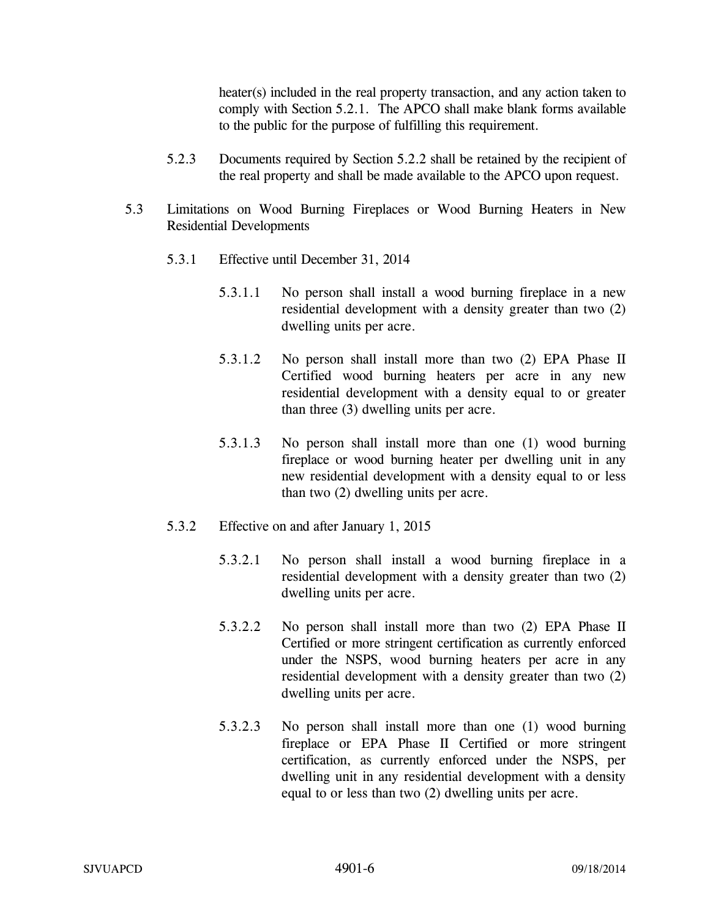heater(s) included in the real property transaction, and any action taken to comply with Section 5.2.1. The APCO shall make blank forms available to the public for the purpose of fulfilling this requirement.

- 5.2.3 Documents required by Section 5.2.2 shall be retained by the recipient of the real property and shall be made available to the APCO upon request.
- 5.3 Limitations on Wood Burning Fireplaces or Wood Burning Heaters in New Residential Developments
	- 5.3.1 Effective until December 31, 2014
		- 5.3.1.1 No person shall install a wood burning fireplace in a new residential development with a density greater than two (2) dwelling units per acre.
		- 5.3.1.2 No person shall install more than two (2) EPA Phase II Certified wood burning heaters per acre in any new residential development with a density equal to or greater than three (3) dwelling units per acre.
		- 5.3.1.3 No person shall install more than one (1) wood burning fireplace or wood burning heater per dwelling unit in any new residential development with a density equal to or less than two (2) dwelling units per acre.
	- 5.3.2 Effective on and after January 1, 2015
		- 5.3.2.1 No person shall install a wood burning fireplace in a residential development with a density greater than two (2) dwelling units per acre.
		- 5.3.2.2 No person shall install more than two (2) EPA Phase II Certified or more stringent certification as currently enforced under the NSPS, wood burning heaters per acre in any residential development with a density greater than two (2) dwelling units per acre.
		- 5.3.2.3 No person shall install more than one (1) wood burning fireplace or EPA Phase II Certified or more stringent certification, as currently enforced under the NSPS, per dwelling unit in any residential development with a density equal to or less than two (2) dwelling units per acre.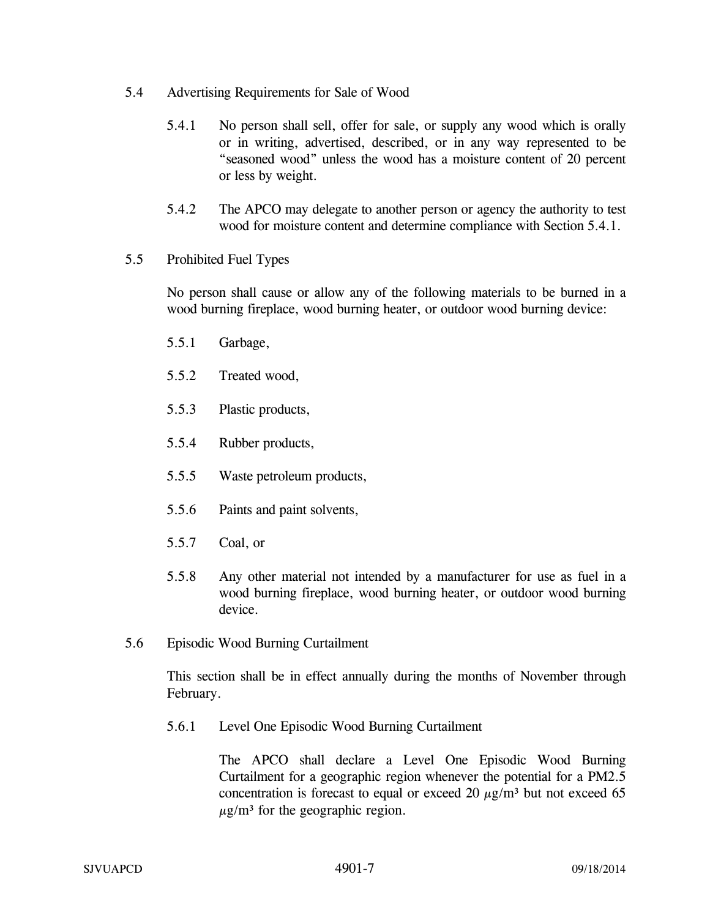- 5.4 Advertising Requirements for Sale of Wood
	- 5.4.1 No person shall sell, offer for sale, or supply any wood which is orally or in writing, advertised, described, or in any way represented to be "seasoned wood" unless the wood has a moisture content of 20 percent or less by weight.
	- 5.4.2 The APCO may delegate to another person or agency the authority to test wood for moisture content and determine compliance with Section 5.4.1.
- 5.5 Prohibited Fuel Types

No person shall cause or allow any of the following materials to be burned in a wood burning fireplace, wood burning heater, or outdoor wood burning device:

- 5.5.1 Garbage,
- 5.5.2 Treated wood,
- 5.5.3 Plastic products,
- 5.5.4 Rubber products,
- 5.5.5 Waste petroleum products,
- 5.5.6 Paints and paint solvents,
- 5.5.7 Coal, or
- 5.5.8 Any other material not intended by a manufacturer for use as fuel in a wood burning fireplace, wood burning heater, or outdoor wood burning device.
- 5.6 Episodic Wood Burning Curtailment

This section shall be in effect annually during the months of November through February.

5.6.1 Level One Episodic Wood Burning Curtailment

 The APCO shall declare a Level One Episodic Wood Burning Curtailment for a geographic region whenever the potential for a PM2.5 concentration is forecast to equal or exceed 20  $\mu$ g/m<sup>3</sup> but not exceed 65  $\mu$ g/m<sup>3</sup> for the geographic region.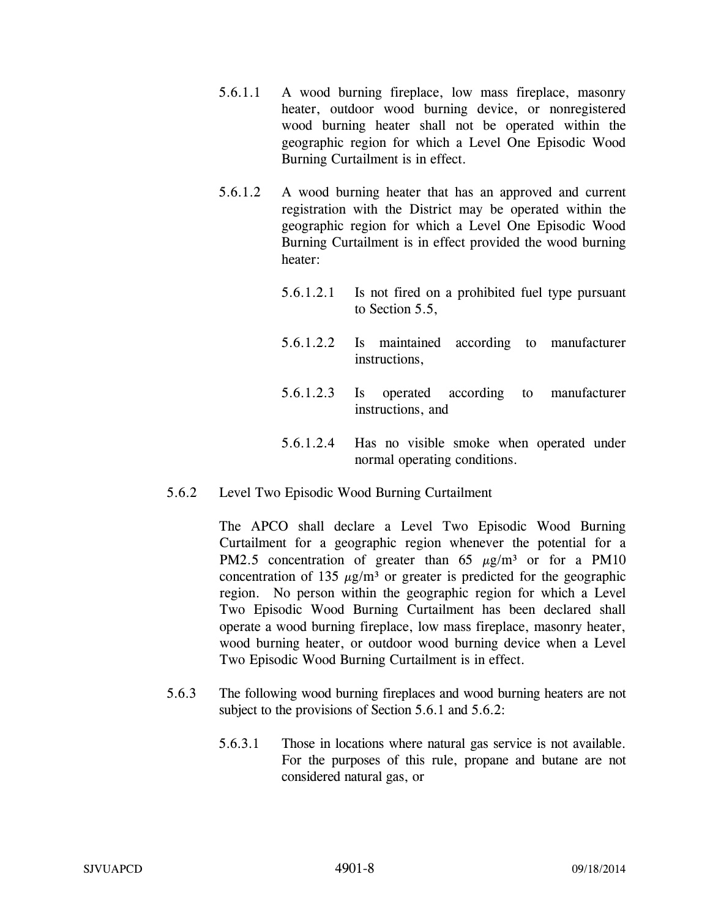- 5.6.1.1 A wood burning fireplace, low mass fireplace, masonry heater, outdoor wood burning device, or nonregistered wood burning heater shall not be operated within the geographic region for which a Level One Episodic Wood Burning Curtailment is in effect.
- 5.6.1.2 A wood burning heater that has an approved and current registration with the District may be operated within the geographic region for which a Level One Episodic Wood Burning Curtailment is in effect provided the wood burning heater:
	- 5.6.1.2.1 Is not fired on a prohibited fuel type pursuant to Section 5.5,
	- 5.6.1.2.2 Is maintained according to manufacturer instructions,
	- 5.6.1.2.3 Is operated according to manufacturer instructions, and
	- 5.6.1.2.4 Has no visible smoke when operated under normal operating conditions.
- 5.6.2 Level Two Episodic Wood Burning Curtailment

 The APCO shall declare a Level Two Episodic Wood Burning Curtailment for a geographic region whenever the potential for a PM2.5 concentration of greater than  $65 \mu g/m^3$  or for a PM10 concentration of 135  $\mu$ g/m<sup>3</sup> or greater is predicted for the geographic region. No person within the geographic region for which a Level Two Episodic Wood Burning Curtailment has been declared shall operate a wood burning fireplace, low mass fireplace, masonry heater, wood burning heater, or outdoor wood burning device when a Level Two Episodic Wood Burning Curtailment is in effect.

- 5.6.3 The following wood burning fireplaces and wood burning heaters are not subject to the provisions of Section 5.6.1 and 5.6.2:
	- 5.6.3.1 Those in locations where natural gas service is not available. For the purposes of this rule, propane and butane are not considered natural gas, or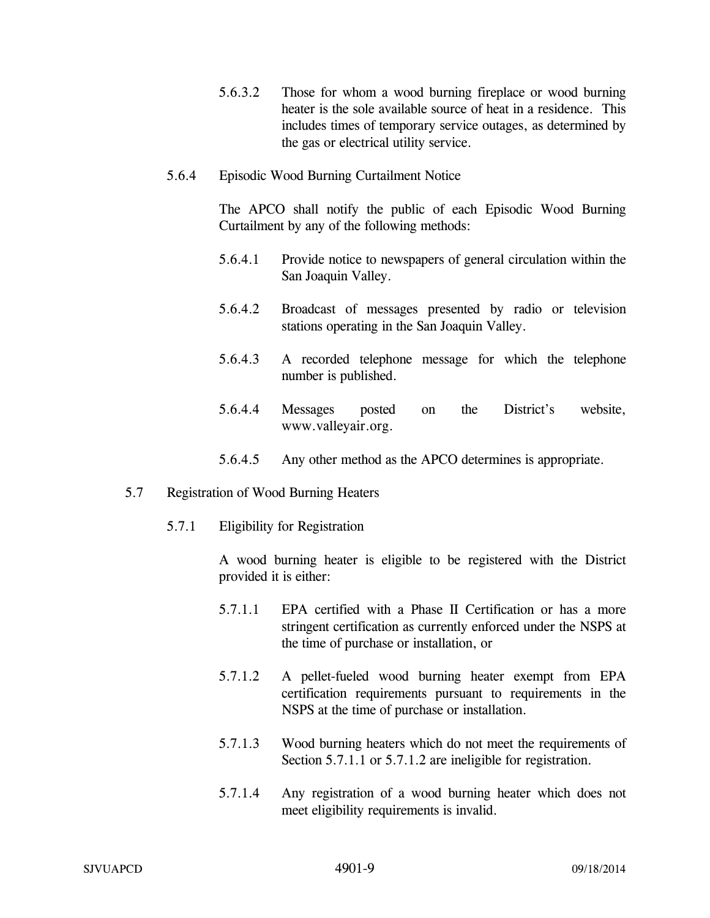- 5.6.3.2 Those for whom a wood burning fireplace or wood burning heater is the sole available source of heat in a residence. This includes times of temporary service outages, as determined by the gas or electrical utility service.
- 5.6.4 Episodic Wood Burning Curtailment Notice

The APCO shall notify the public of each Episodic Wood Burning Curtailment by any of the following methods:

- 5.6.4.1 Provide notice to newspapers of general circulation within the San Joaquin Valley.
- 5.6.4.2 Broadcast of messages presented by radio or television stations operating in the San Joaquin Valley.
- 5.6.4.3 A recorded telephone message for which the telephone number is published.
- 5.6.4.4 Messages posted on the District's website, www.valleyair.org.
- 5.6.4.5 Any other method as the APCO determines is appropriate.
- 5.7 Registration of Wood Burning Heaters
	- 5.7.1 Eligibility for Registration

 A wood burning heater is eligible to be registered with the District provided it is either:

- 5.7.1.1 EPA certified with a Phase II Certification or has a more stringent certification as currently enforced under the NSPS at the time of purchase or installation, or
- 5.7.1.2 A pellet-fueled wood burning heater exempt from EPA certification requirements pursuant to requirements in the NSPS at the time of purchase or installation.
- 5.7.1.3 Wood burning heaters which do not meet the requirements of Section 5.7.1.1 or 5.7.1.2 are ineligible for registration.
- 5.7.1.4 Any registration of a wood burning heater which does not meet eligibility requirements is invalid.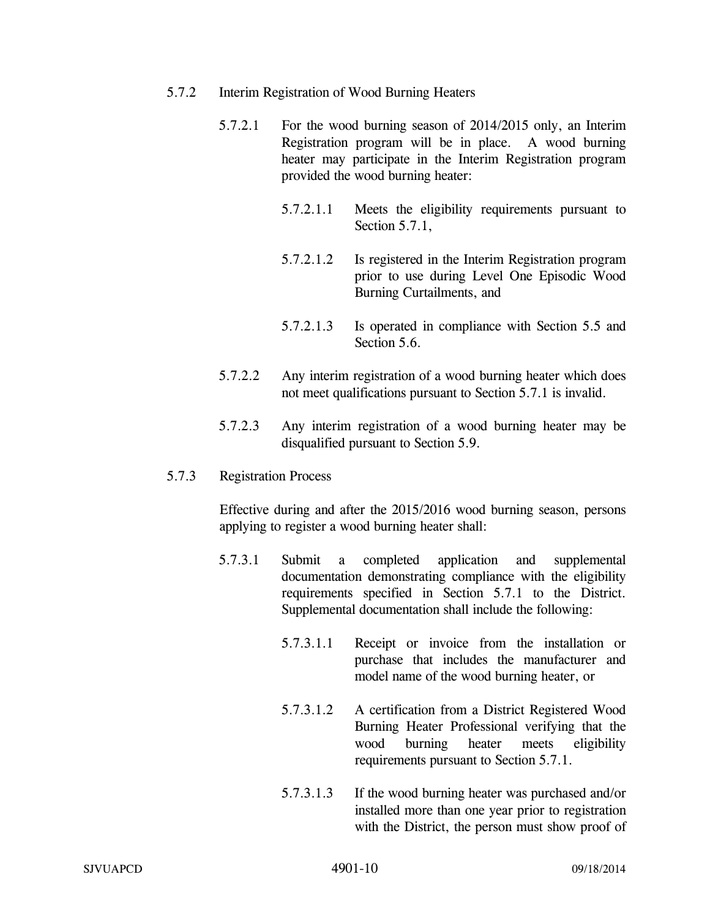- 5.7.2 Interim Registration of Wood Burning Heaters
	- 5.7.2.1 For the wood burning season of 2014/2015 only, an Interim Registration program will be in place. A wood burning heater may participate in the Interim Registration program provided the wood burning heater:
		- 5.7.2.1.1 Meets the eligibility requirements pursuant to Section 5.7.1,
		- 5.7.2.1.2 Is registered in the Interim Registration program prior to use during Level One Episodic Wood Burning Curtailments, and
		- 5.7.2.1.3 Is operated in compliance with Section 5.5 and Section 5.6.
	- 5.7.2.2 Any interim registration of a wood burning heater which does not meet qualifications pursuant to Section 5.7.1 is invalid.
	- 5.7.2.3 Any interim registration of a wood burning heater may be disqualified pursuant to Section 5.9.
- 5.7.3 Registration Process

 Effective during and after the 2015/2016 wood burning season, persons applying to register a wood burning heater shall:

- 5.7.3.1 Submit a completed application and supplemental documentation demonstrating compliance with the eligibility requirements specified in Section 5.7.1 to the District. Supplemental documentation shall include the following:
	- 5.7.3.1.1 Receipt or invoice from the installation or purchase that includes the manufacturer and model name of the wood burning heater, or
	- 5.7.3.1.2 A certification from a District Registered Wood Burning Heater Professional verifying that the wood burning heater meets eligibility requirements pursuant to Section 5.7.1.
	- 5.7.3.1.3 If the wood burning heater was purchased and/or installed more than one year prior to registration with the District, the person must show proof of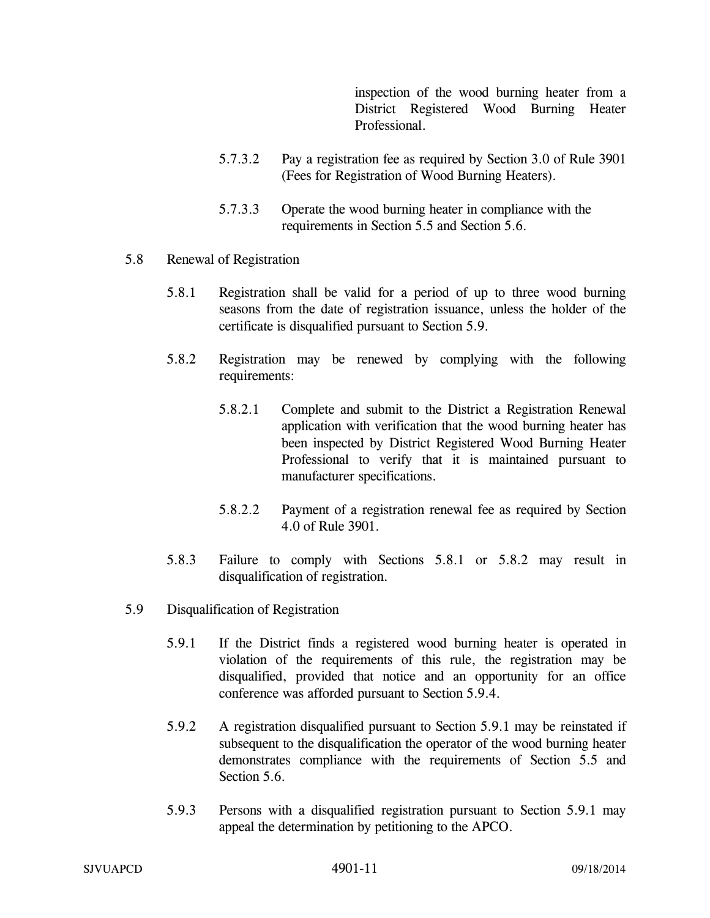inspection of the wood burning heater from a District Registered Wood Burning Heater Professional.

- 5.7.3.2 Pay a registration fee as required by Section 3.0 of Rule 3901 (Fees for Registration of Wood Burning Heaters).
- 5.7.3.3 Operate the wood burning heater in compliance with the requirements in Section 5.5 and Section 5.6.
- 5.8 Renewal of Registration
	- 5.8.1 Registration shall be valid for a period of up to three wood burning seasons from the date of registration issuance, unless the holder of the certificate is disqualified pursuant to Section 5.9.
	- 5.8.2 Registration may be renewed by complying with the following requirements:
		- 5.8.2.1 Complete and submit to the District a Registration Renewal application with verification that the wood burning heater has been inspected by District Registered Wood Burning Heater Professional to verify that it is maintained pursuant to manufacturer specifications.
		- 5.8.2.2 Payment of a registration renewal fee as required by Section 4.0 of Rule 3901.
	- 5.8.3 Failure to comply with Sections 5.8.1 or 5.8.2 may result in disqualification of registration.
- 5.9 Disqualification of Registration
	- 5.9.1 If the District finds a registered wood burning heater is operated in violation of the requirements of this rule, the registration may be disqualified, provided that notice and an opportunity for an office conference was afforded pursuant to Section 5.9.4.
	- 5.9.2 A registration disqualified pursuant to Section 5.9.1 may be reinstated if subsequent to the disqualification the operator of the wood burning heater demonstrates compliance with the requirements of Section 5.5 and Section 5.6.
	- 5.9.3 Persons with a disqualified registration pursuant to Section 5.9.1 may appeal the determination by petitioning to the APCO.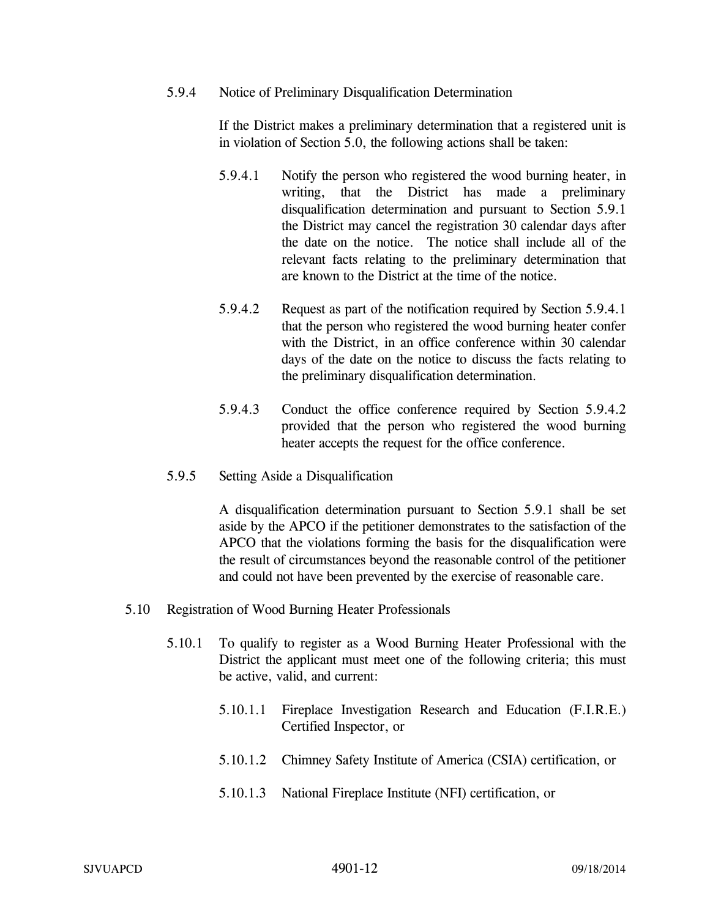5.9.4 Notice of Preliminary Disqualification Determination

If the District makes a preliminary determination that a registered unit is in violation of Section 5.0, the following actions shall be taken:

- 5.9.4.1 Notify the person who registered the wood burning heater, in writing, that the District has made a preliminary disqualification determination and pursuant to Section 5.9.1 the District may cancel the registration 30 calendar days after the date on the notice. The notice shall include all of the relevant facts relating to the preliminary determination that are known to the District at the time of the notice.
- 5.9.4.2 Request as part of the notification required by Section 5.9.4.1 that the person who registered the wood burning heater confer with the District, in an office conference within 30 calendar days of the date on the notice to discuss the facts relating to the preliminary disqualification determination.
- 5.9.4.3 Conduct the office conference required by Section 5.9.4.2 provided that the person who registered the wood burning heater accepts the request for the office conference.
- 5.9.5 Setting Aside a Disqualification

A disqualification determination pursuant to Section 5.9.1 shall be set aside by the APCO if the petitioner demonstrates to the satisfaction of the APCO that the violations forming the basis for the disqualification were the result of circumstances beyond the reasonable control of the petitioner and could not have been prevented by the exercise of reasonable care.

- 5.10 Registration of Wood Burning Heater Professionals
	- 5.10.1 To qualify to register as a Wood Burning Heater Professional with the District the applicant must meet one of the following criteria; this must be active, valid, and current:
		- 5.10.1.1 Fireplace Investigation Research and Education (F.I.R.E.) Certified Inspector, or
		- 5.10.1.2 Chimney Safety Institute of America (CSIA) certification, or
		- 5.10.1.3 National Fireplace Institute (NFI) certification, or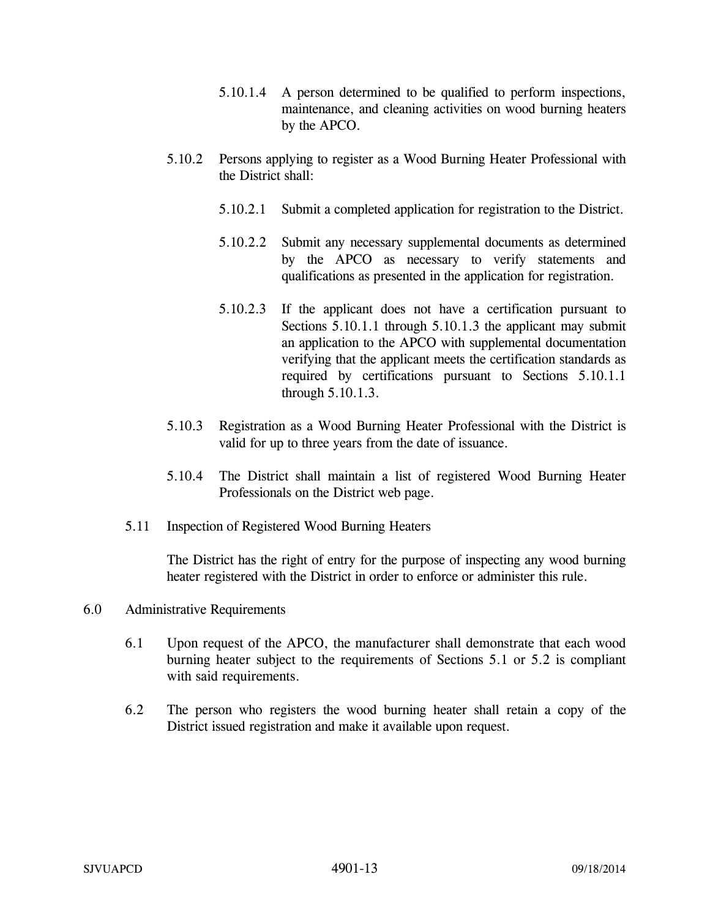- 5.10.1.4 A person determined to be qualified to perform inspections, maintenance, and cleaning activities on wood burning heaters by the APCO.
- 5.10.2 Persons applying to register as a Wood Burning Heater Professional with the District shall:
	- 5.10.2.1 Submit a completed application for registration to the District.
	- 5.10.2.2 Submit any necessary supplemental documents as determined by the APCO as necessary to verify statements and qualifications as presented in the application for registration.
	- 5.10.2.3 If the applicant does not have a certification pursuant to Sections 5.10.1.1 through 5.10.1.3 the applicant may submit an application to the APCO with supplemental documentation verifying that the applicant meets the certification standards as required by certifications pursuant to Sections 5.10.1.1 through 5.10.1.3.
- 5.10.3 Registration as a Wood Burning Heater Professional with the District is valid for up to three years from the date of issuance.
- 5.10.4 The District shall maintain a list of registered Wood Burning Heater Professionals on the District web page.
- 5.11 Inspection of Registered Wood Burning Heaters

The District has the right of entry for the purpose of inspecting any wood burning heater registered with the District in order to enforce or administer this rule.

- 6.0 Administrative Requirements
	- 6.1 Upon request of the APCO, the manufacturer shall demonstrate that each wood burning heater subject to the requirements of Sections 5.1 or 5.2 is compliant with said requirements.
	- 6.2 The person who registers the wood burning heater shall retain a copy of the District issued registration and make it available upon request.